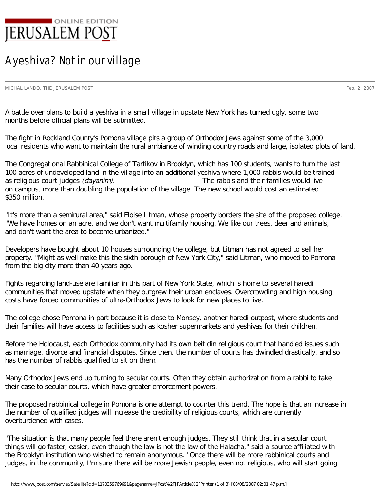

## A yeshiva? Not in our village

MICHAL LANDO, THE JERUSALEM POST Feb. 2, 2007

A battle over plans to build a yeshiva in a small village in upstate New York has turned ugly, some two months before official plans will be submitted.

The fight in Rockland County's Pomona village pits a group of Orthodox Jews against some of the 3,000 local residents who want to maintain the rural ambiance of winding country roads and large, isolated plots of land.

The Congregational Rabbinical College of Tartikov in Brooklyn, which has 100 students, wants to turn the last 100 acres of undeveloped land in the village into an additional yeshiva where 1,000 rabbis would be trained as religious court judges (dayanim). The rabbis and their families would live on campus, more than doubling the population of the village. The new school would cost an estimated \$350 million.

"It's more than a semirural area," said Eloise Litman, whose property borders the site of the proposed college. "We have homes on an acre, and we don't want multifamily housing. We like our trees, deer and animals, and don't want the area to become urbanized."

Developers have bought about 10 houses surrounding the college, but Litman has not agreed to sell her property. "Might as well make this the sixth borough of New York City," said Litman, who moved to Pomona from the big city more than 40 years ago.

Fights regarding land-use are familiar in this part of New York State, which is home to several haredi communities that moved upstate when they outgrew their urban enclaves. Overcrowding and high housing costs have forced communities of ultra-Orthodox Jews to look for new places to live.

The college chose Pomona in part because it is close to Monsey, another haredi outpost, where students and their families will have access to facilities such as kosher supermarkets and yeshivas for their children.

Before the Holocaust, each Orthodox community had its own beit din religious court that handled issues such as marriage, divorce and financial disputes. Since then, the number of courts has dwindled drastically, and so has the number of rabbis qualified to sit on them.

Many Orthodox Jews end up turning to secular courts. Often they obtain authorization from a rabbi to take their case to secular courts, which have greater enforcement powers.

The proposed rabbinical college in Pomona is one attempt to counter this trend. The hope is that an increase in the number of qualified judges will increase the credibility of religious courts, which are currently overburdened with cases.

"The situation is that many people feel there aren't enough judges. They still think that in a secular court things will go faster, easier, even though the law is not the law of the Halacha," said a source affiliated with the Brooklyn institution who wished to remain anonymous. "Once there will be more rabbinical courts and judges, in the community, I'm sure there will be more Jewish people, even not religious, who will start going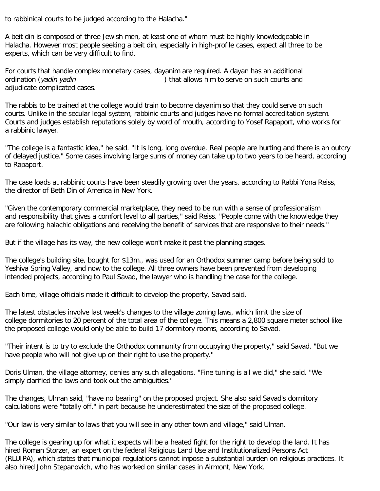to rabbinical courts to be judged according to the Halacha."

A beit din is composed of three Jewish men, at least one of whom must be highly knowledgeable in Halacha. However most people seeking a beit din, especially in high-profile cases, expect all three to be experts, which can be very difficult to find.

For courts that handle complex monetary cases, dayanim are required. A dayan has an additional ordination (*yadin yadin*  $\qquad \qquad$ ) that allows him to serve on such courts and adjudicate complicated cases.

The rabbis to be trained at the college would train to become dayanim so that they could serve on such courts. Unlike in the secular legal system, rabbinic courts and judges have no formal accreditation system. Courts and judges establish reputations solely by word of mouth, according to Yosef Rapaport, who works for a rabbinic lawyer.

"The college is a fantastic idea," he said. "It is long, long overdue. Real people are hurting and there is an outcry of delayed justice." Some cases involving large sums of money can take up to two years to be heard, according to Rapaport.

The case loads at rabbinic courts have been steadily growing over the years, according to Rabbi Yona Reiss, the director of Beth Din of America in New York.

"Given the contemporary commercial marketplace, they need to be run with a sense of professionalism and responsibility that gives a comfort level to all parties," said Reiss. "People come with the knowledge they are following halachic obligations and receiving the benefit of services that are responsive to their needs."

But if the village has its way, the new college won't make it past the planning stages.

The college's building site, bought for \$13m., was used for an Orthodox summer camp before being sold to Yeshiva Spring Valley, and now to the college. All three owners have been prevented from developing intended projects, according to Paul Savad, the lawyer who is handling the case for the college.

Each time, village officials made it difficult to develop the property, Savad said.

The latest obstacles involve last week's changes to the village zoning laws, which limit the size of college dormitories to 20 percent of the total area of the college. This means a 2,800 square meter school like the proposed college would only be able to build 17 dormitory rooms, according to Savad.

"Their intent is to try to exclude the Orthodox community from occupying the property," said Savad. "But we have people who will not give up on their right to use the property."

Doris Ulman, the village attorney, denies any such allegations. "Fine tuning is all we did," she said. "We simply clarified the laws and took out the ambiguities."

The changes, Ulman said, "have no bearing" on the proposed project. She also said Savad's dormitory calculations were "totally off," in part because he underestimated the size of the proposed college.

"Our law is very similar to laws that you will see in any other town and village," said Ulman.

The college is gearing up for what it expects will be a heated fight for the right to develop the land. It has hired Roman Storzer, an expert on the federal Religious Land Use and Institutionalized Persons Act (RLUIPA), which states that municipal regulations cannot impose a substantial burden on religious practices. It also hired John Stepanovich, who has worked on similar cases in Airmont, New York.